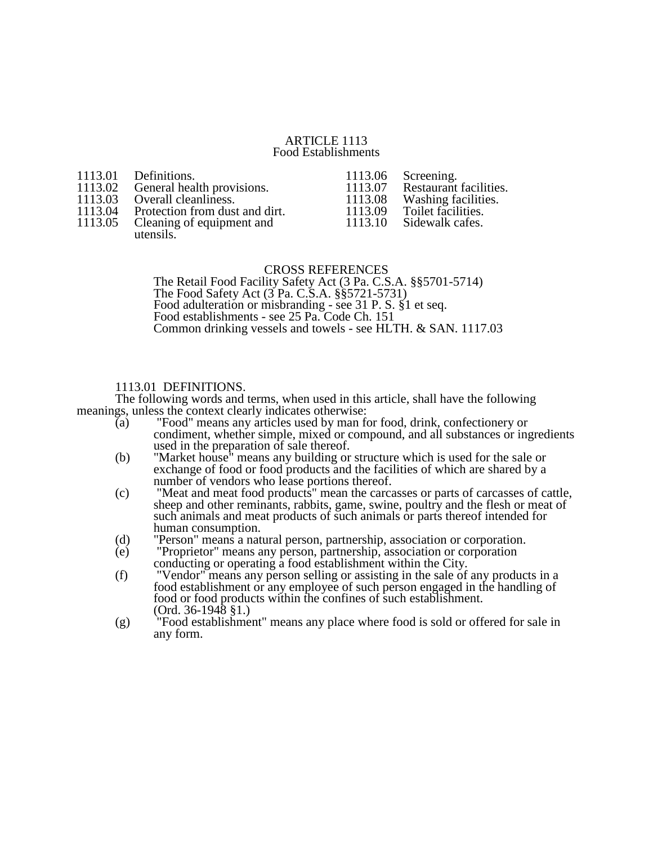#### ARTICLE 1113 Food Establishments

| 1113.03<br>1113.05 | 1113.01 Definitions.<br>1113.02 General health provisions.<br>Overall cleanliness.<br>1113.04 Protection from dust and dirt.<br>Cleaning of equipment and<br>utensils. | 1113.06<br>1113.07<br>1113.08<br>1113.09<br>1113.10 | Screening.<br>Restaurant facilities.<br>Washing facilities.<br>Toilet facilities.<br>Sidewalk cafes. |
|--------------------|------------------------------------------------------------------------------------------------------------------------------------------------------------------------|-----------------------------------------------------|------------------------------------------------------------------------------------------------------|
|--------------------|------------------------------------------------------------------------------------------------------------------------------------------------------------------------|-----------------------------------------------------|------------------------------------------------------------------------------------------------------|

#### CROSS REFERENCES

The Retail Food Facility Safety Act (3 Pa. C.S.A. §§5701-5714) The Food Safety Act (3 Pa. C.S.A. §§5721-5731) Food adulteration or misbranding - see 31 P. S. §1 et seq. Food establishments - see 25 Pa. Code Ch. 151 Common drinking vessels and towels - see HLTH. & SAN. 1117.03

# 1113.01 DEFINITIONS.

The following words and terms, when used in this article, shall have the following meanings, unless the context clearly indicates otherwise:

- (a) "Food" means any articles used by man for food, drink, confectionery or condiment, whether simple, mixed or compound, and all substances or ingredients used in the preparation of sale thereof.
- (b) "Market house" means any building or structure which is used for the sale or exchange of food or food products and the facilities of which are shared by a number of vendors who lease portions thereof.
- (c) "Meat and meat food products" mean the carcasses or parts of carcasses of cattle, sheep and other reminants, rabbits, game, swine, poultry and the flesh or meat of such animals and meat products of such animals or parts thereof intended for human consumption.
- (d) "Person" means a natural person, partnership, association or corporation.
- (e) "Proprietor" means any person, partnership, association or corporation conducting or operating a food establishment within the City.
- (f) "Vendor" means any person selling or assisting in the sale of any products in a food establishment or any employee of such person engaged in the handling of food or food products within the confines of such establishment.  $(Ord. 36-1948$  §1.)
- (g) "Food establishment" means any place where food is sold or offered for sale in any form.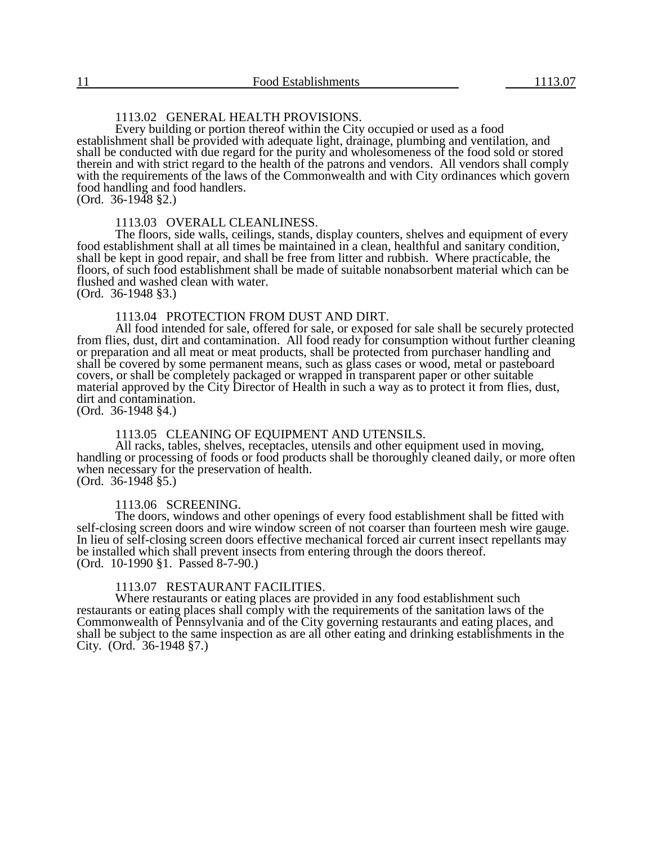# 1113.02 GENERAL HEALTH PROVISIONS.

Every building or portion thereof within the City occupied or used as a food establishment shall be provided with adequate light, drainage, plumbing and ventilation, and shall be conducted with due regard for the purity and wholesomeness of the food sold or stored therein and with strict regard to the health of the patrons and vendors. All vendors shall comply with the requirements of the laws of the Commonwealth and with City ordinances which govern food handling and food handlers.

 $(Ord. 36-1948 \$ §2.)

#### 1113.03 OVERALL CLEANLINESS.

The floors, side walls, ceilings, stands, display counters, shelves and equipment of every food establishment shall at all times be maintained in a clean, healthful and sanitary condition, shall be kept in good repair, and shall be free from litter and rubbish. Where practicable, the floors, of such food establishment shall be made of suitable nonabsorbent material which can be flushed and washed clean with water.

(Ord. 36-1948 §3.)

### 1113.04 PROTECTION FROM DUST AND DIRT.

All food intended for sale, offered for sale, or exposed for sale shall be securely protected from flies, dust, dirt and contamination. All food ready for consumption without further cleaning or preparation and all meat or meat products, shall be protected from purchaser handling and shall be covered by some permanent means, such as glass cases or wood, metal or pasteboard covers, or shall be completely packaged or wrapped in transparent paper or other suitable material approved by the City Director of Health in such a way as to protect it from flies, dust, dirt and contamination.

(Ord. 36-1948 §4.)

#### 1113.05 CLEANING OF EQUIPMENT AND UTENSILS.

All racks, tables, shelves, receptacles, utensils and other equipment used in moving, handling or processing of foods or food products shall be thoroughly cleaned daily, or more often when necessary for the preservation of health.  $(Ord. 36-1948 \$ §5.)

#### 1113.06 SCREENING.

The doors, windows and other openings of every food establishment shall be fitted with self-closing screen doors and wire window screen of not coarser than fourteen mesh wire gauge. In lieu of self-closing screen doors effective mechanical forced air current insect repellants may be installed which shall prevent insects from entering through the doors thereof. (Ord. 10-1990 §1. Passed 8-7-90.)

#### 1113.07 RESTAURANT FACILITIES.

Where restaurants or eating places are provided in any food establishment such restaurants or eating places shall comply with the requirements of the sanitation laws of the Commonwealth of Pennsylvania and of the City governing restaurants and eating places, and shall be subject to the same inspection as are all other eating and drinking establishments in the City. (Ord. 36-1948 §7.)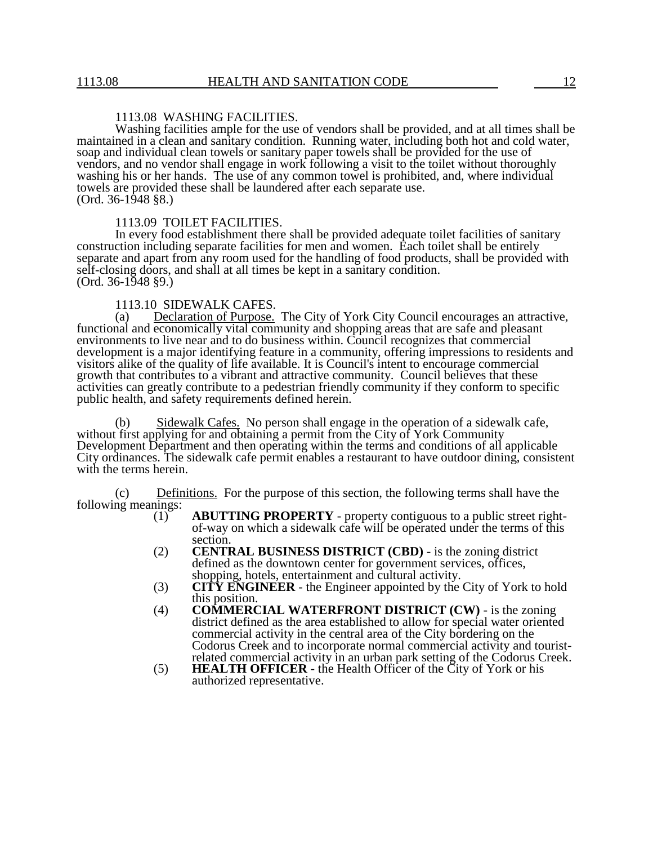## 1113.08 WASHING FACILITIES.

Washing facilities ample for the use of vendors shall be provided, and at all times shall be maintained in a clean and sanitary condition. Running water, including both hot and cold water, soap and individual clean towels or sanitary paper towels shall be provided for the use of vendors, and no vendor shall engage in work following a visit to the toilet without thoroughly washing his or her hands. The use of any common towel is prohibited, and, where individual towels are provided these shall be laundered after each separate use.  $(Ord. 36-1948 \$ §8.)

#### 1113.09 TOILET FACILITIES.

In every food establishment there shall be provided adequate toilet facilities of sanitary construction including separate facilities for men and women. Each toilet shall be entirely separate and apart from any room used for the handling of food products, shall be provided with self-closing doors, and shall at all times be kept in a sanitary condition. (Ord. 36-1948 §9.)

# 1113.10 SIDEWALK CAFES.<br>(a) Declaration of Purpose.

Declaration of Purpose. The City of York City Council encourages an attractive, functional and economically vital community and shopping areas that are safe and pleasant environments to live near and to do business within. Council recognizes that commercial development is a major identifying feature in a community, offering impressions to residents and visitors alike of the quality of life available. It is Council's intent to encourage commercial growth that contributes to a vibrant and attractive community. Council believes that these activities can greatly contribute to a pedestrian friendly community if they conform to specific public health, and safety requirements defined herein.

(b) Sidewalk Cafes. No person shall engage in the operation of a sidewalk cafe, without first applying for and obtaining a permit from the City of York Community Development Department and then operating within the terms and conditions of all applicable City ordinances. The sidewalk cafe permit enables a restaurant to have outdoor dining, consistent with the terms herein.

(c) Definitions. For the purpose of this section, the following terms shall have the following meanings:  $(1)$ 

- (1) **ABUTTING PROPERTY** property contiguous to a public street rightof-way on which a sidewalk cafe will be operated under the terms of this section.
- (2) **CENTRAL BUSINESS DISTRICT (CBD)** is the zoning district defined as the downtown center for government services, offices, shopping, hotels, entertainment and cultural activity.
- (3) **CITY ENGINEER** the Engineer appointed by the City of York to hold this position.
- (4) **COMMERCIAL WATERFRONT DISTRICT (CW)** is the zoning district defined as the area established to allow for special water oriented commercial activity in the central area of the City bordering on the Codorus Creek and to incorporate normal commercial activity and touristrelated commercial activity in an urban park setting of the Codorus Creek.
- (5) **HEALTH OFFICER** the Health Officer of the City of York or his authorized representative.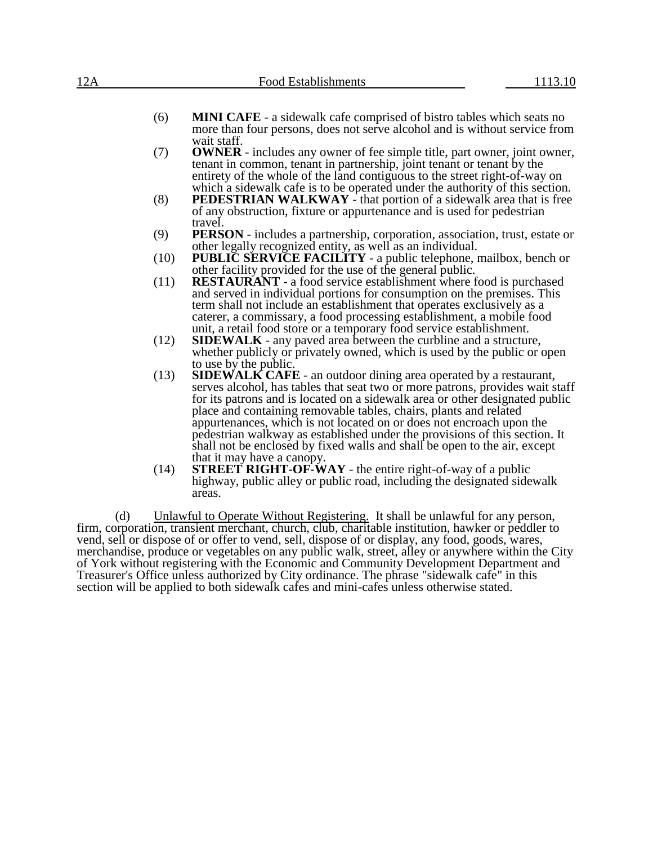| 12A |      | <b>Food Establishments</b>                                                                                                                                                                                                                                                                                                                                                                                                                                                                                                                                                     | 1113.10 |
|-----|------|--------------------------------------------------------------------------------------------------------------------------------------------------------------------------------------------------------------------------------------------------------------------------------------------------------------------------------------------------------------------------------------------------------------------------------------------------------------------------------------------------------------------------------------------------------------------------------|---------|
|     | (6)  | <b>MINI CAFE</b> - a sidewalk cafe comprised of bistro tables which seats no<br>more than four persons, does not serve alcohol and is without service from                                                                                                                                                                                                                                                                                                                                                                                                                     |         |
|     | (7)  | wait staff.<br><b>OWNER</b> - includes any owner of fee simple title, part owner, joint owner,<br>tenant in common, tenant in partnership, joint tenant or tenant by the<br>entirety of the whole of the land contiguous to the street right-of-way on                                                                                                                                                                                                                                                                                                                         |         |
|     | (8)  | which a sidewalk cafe is to be operated under the authority of this section.<br><b>PEDESTRIAN WALKWAY</b> - that portion of a sidewalk area that is free<br>of any obstruction, fixture or appurtenance and is used for pedestrian<br>travel.                                                                                                                                                                                                                                                                                                                                  |         |
|     | (9)  | PERSON - includes a partnership, corporation, association, trust, estate or                                                                                                                                                                                                                                                                                                                                                                                                                                                                                                    |         |
|     | (10) | other legally recognized entity, as well as an individual.<br><b>PUBLIC SERVICE FACILITY</b> - a public telephone, mailbox, bench or<br>other facility provided for the use of the general public.                                                                                                                                                                                                                                                                                                                                                                             |         |
|     | (11) | <b>RESTAURANT</b> - a food service establishment where food is purchased<br>and served in individual portions for consumption on the premises. This<br>term shall not include an establishment that operates exclusively as a<br>caterer, a commissary, a food processing establishment, a mobile food<br>unit, a retail food store or a temporary food service establishment.                                                                                                                                                                                                 |         |
|     | (12) | <b>SIDEWALK</b> - any paved area between the curbline and a structure,<br>whether publicly or privately owned, which is used by the public or open<br>to use by the public.                                                                                                                                                                                                                                                                                                                                                                                                    |         |
|     | (13) | <b>SIDEWALK CAFE</b> - an outdoor dining area operated by a restaurant,<br>serves alcohol, has tables that seat two or more patrons, provides wait staff<br>for its patrons and is located on a sidewalk area or other designated public<br>place and containing removable tables, chairs, plants and related<br>appurtenances, which is not located on or does not encroach upon the<br>pedestrian walkway as established under the provisions of this section. It<br>shall not be enclosed by fixed walls and shall be open to the air, except<br>that it may have a canopy. |         |
|     | (14) | <b>STREET RIGHT-OF-WAY</b> - the entire right-of-way of a public<br>highway, public alley or public road, including the designated sidewalk                                                                                                                                                                                                                                                                                                                                                                                                                                    |         |

(d) Unlawful to Operate Without Registering. It shall be unlawful for any person, firm, corporation, transient merchant, church, club, charitable institution, hawker or peddler to vend, sell or dispose of or offer to vend, sell, dispose of or display, any food, goods, wares, merchandise, produce or vegetables on any public walk, street, alley or anywhere within the City of York without registering with the Economic and Community Development Department and Treasurer's Office unless authorized by City ordinance. The phrase "sidewalk cafe" in this section will be applied to both sidewalk cafes and mini-cafes unless otherwise stated.

areas.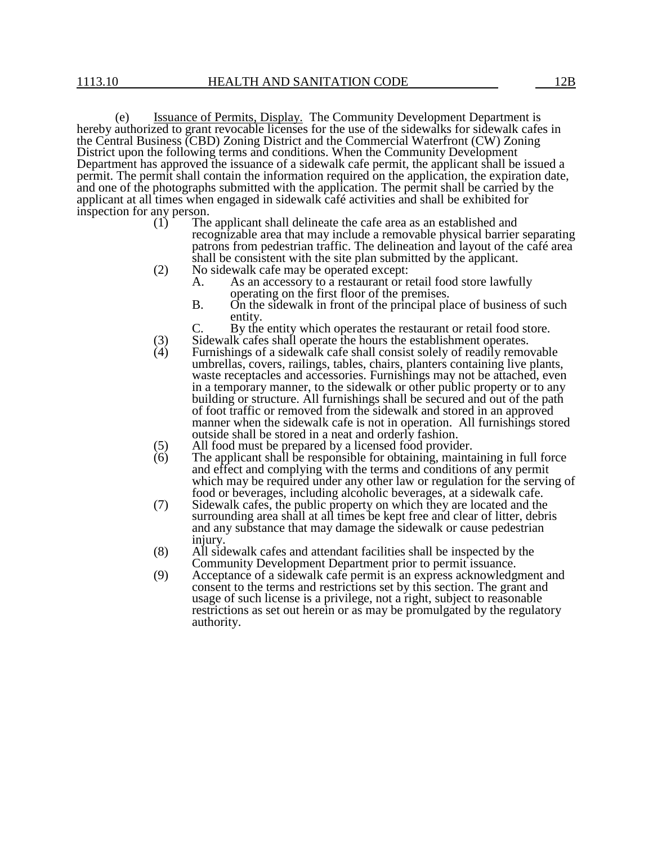(e) Issuance of Permits, Display. The Community Development Department is hereby authorized to grant revocable licenses for the use of the sidewalks for sidewalk cafes in the Central Business (CBD) Zoning District and the Commercial Waterfront (CW) Zoning District upon the following terms and conditions. When the Community Development Department has approved the issuance of a sidewalk cafe permit, the applicant shall be issued a permit. The permit shall contain the information required on the application, the expiration date, and one of the photographs submitted with the application. The permit shall be carried by the applicant at all times when engaged in sidewalk café activities and shall be exhibited for inspection for any person.<br>(1) The

- The applicant shall delineate the cafe area as an established and recognizable area that may include a removable physical barrier separating patrons from pedestrian traffic. The delineation and layout of the café area shall be consistent with the site plan submitted by the applicant.
- (2) No sidewalk cafe may be operated except:
	- A. As an accessory to a restaurant or retail food store lawfully operating on the first floor of the premises.
	- B. On the sidewalk in front of the principal place of business of such entity.
	- By the entity which operates the restaurant or retail food store.
- (3) Sidewalk cafes shall operate the hours the establishment operates.<br>
(4) Furnishings of a sidewalk cafe shall consist solely of readily remo
- Furnishings of a sidewalk cafe shall consist solely of readily removable umbrellas, covers, railings, tables, chairs, planters containing live plants, waste receptacles and accessories. Furnishings may not be attached, even in a temporary manner, to the sidewalk or other public property or to any building or structure. All furnishings shall be secured and out of the path of foot traffic or removed from the sidewalk and stored in an approved manner when the sidewalk cafe is not in operation. All furnishings stored outside shall be stored in a neat and orderly fashion.
- (5) All food must be prepared by a licensed food provider.<br>  $(6)$  The applicant shall be responsible for obtaining, maintain
- The applicant shall be responsible for obtaining, maintaining in full force and effect and complying with the terms and conditions of any permit which may be required under any other law or regulation for the serving of food or beverages, including alcoholic beverages, at a sidewalk cafe.
- (7) Sidewalk cafes, the public property on which they are located and the surrounding area shall at all times be kept free and clear of litter, debris and any substance that may damage the sidewalk or cause pedestrian injury.
- (8) All sidewalk cafes and attendant facilities shall be inspected by the Community Development Department prior to permit issuance.
- (9) Acceptance of a sidewalk cafe permit is an express acknowledgment and consent to the terms and restrictions set by this section. The grant and usage of such license is a privilege, not a right, subject to reasonable restrictions as set out herein or as may be promulgated by the regulatory authority.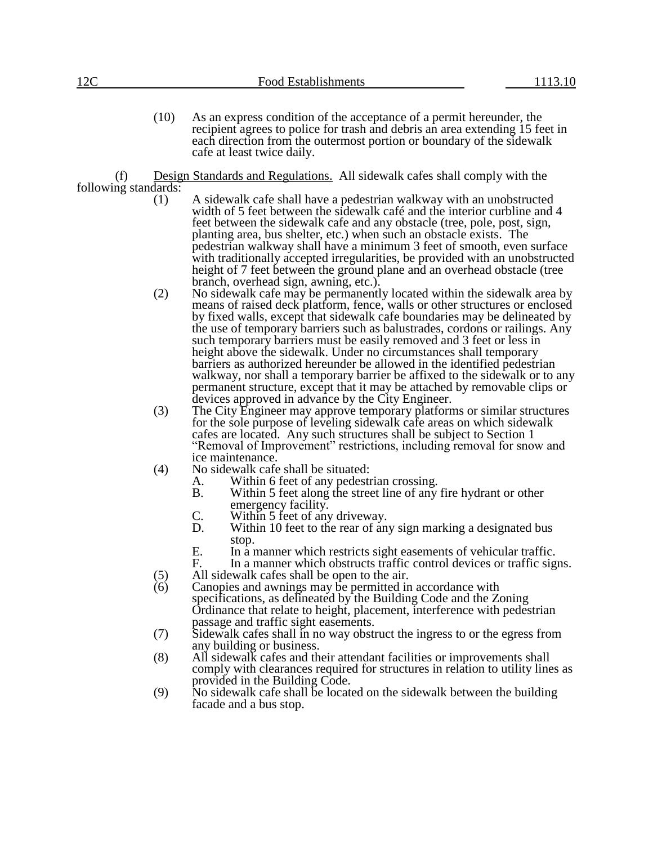(10) As an express condition of the acceptance of a permit hereunder, the recipient agrees to police for trash and debris an area extending 15 feet in each direction from the outermost portion or boundary of the sidewalk cafe at least twice daily.

(f) Design Standards and Regulations. All sidewalk cafes shall comply with the following standards:

- (1) A sidewalk cafe shall have a pedestrian walkway with an unobstructed width of 5 feet between the sidewalk café and the interior curbline and 4 feet between the sidewalk cafe and any obstacle (tree, pole, post, sign, planting area, bus shelter, etc.) when such an obstacle exists. The pedestrian walkway shall have a minimum 3 feet of smooth, even surface with traditionally accepted irregularities, be provided with an unobstructed height of 7 feet between the ground plane and an overhead obstacle (tree branch, overhead sign, awning, etc.).
- (2) No sidewalk cafe may be permanently located within the sidewalk area by means of raised deck platform, fence, walls or other structures or enclosed by fixed walls, except that sidewalk cafe boundaries may be delineated by the use of temporary barriers such as balustrades, cordons or railings. Any such temporary barriers must be easily removed and 3 feet or less in height above the sidewalk. Under no circumstances shall temporary barriers as authorized hereunder be allowed in the identified pedestrian walkway, nor shall a temporary barrier be affixed to the sidewalk or to any permanent structure, except that it may be attached by removable clips or devices approved in advance by the City Engineer.
- (3) The City Engineer may approve temporary platforms or similar structures for the sole purpose of leveling sidewalk cafe areas on which sidewalk cafes are located. Any such structures shall be subject to Section 1 "Removal of Improvement" restrictions, including removal for snow and ice maintenance.
- (4) No sidewalk cafe shall be situated:
	- A. Within 6 feet of any pedestrian crossing.<br>B. Within 5 feet along the street line of any
	- Within 5 feet along the street line of any fire hydrant or other emergency facility.
	- C. Within 5 feet of any driveway.<br>D. Within 10 feet to the rear of an
	- Within 10 feet to the rear of any sign marking a designated bus stop.
	- E. In a manner which restricts sight easements of vehicular traffic.<br>F. In a manner which obstructs traffic control devices or traffic sig
	- In a manner which obstructs traffic control devices or traffic signs.
- (5) All sidewalk cafes shall be open to the air.
- (6) Canopies and awnings may be permitted in accordance with specifications, as delineated by the Building Code and the Zoning Ordinance that relate to height, placement, interference with pedestrian passage and traffic sight easements.
- (7) Sidewalk cafes shall in no way obstruct the ingress to or the egress from any building or business.
- (8) All sidewalk cafes and their attendant facilities or improvements shall comply with clearances required for structures in relation to utility lines as provided in the Building Code.
- (9) No sidewalk cafe shall be located on the sidewalk between the building facade and a bus stop.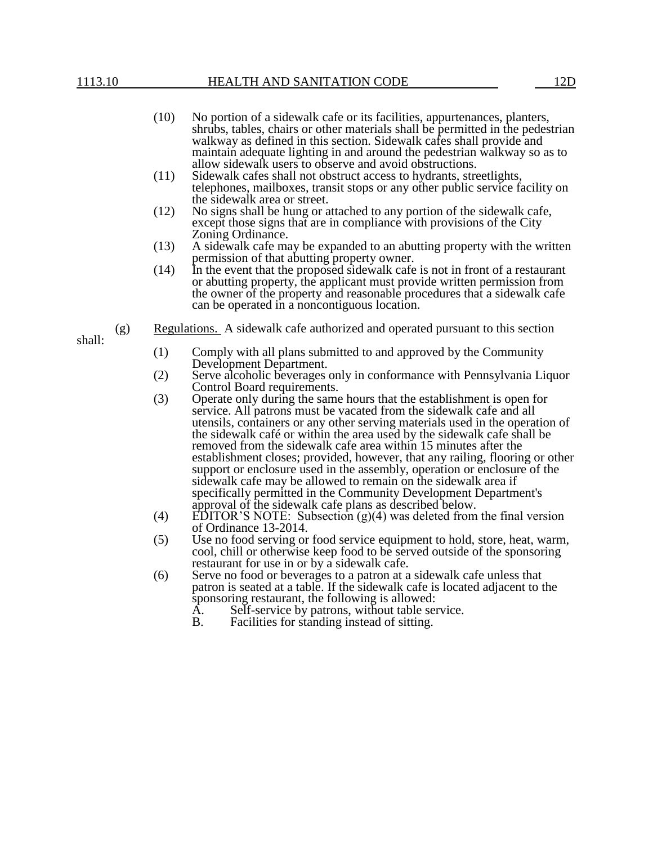- (10) No portion of a sidewalk cafe or its facilities, appurtenances, planters, shrubs, tables, chairs or other materials shall be permitted in the pedestrian walkway as defined in this section. Sidewalk cafes shall provide and maintain adequate lighting in and around the pedestrian walkway so as to allow sidewalk users to observe and avoid obstructions.
- (11) Sidewalk cafes shall not obstruct access to hydrants, streetlights, telephones, mailboxes, transit stops or any other public service facility on the sidewalk area or street.
- (12) No signs shall be hung or attached to any portion of the sidewalk cafe, except those signs that are in compliance with provisions of the City Zoning Ordinance.
- (13) A sidewalk cafe may be expanded to an abutting property with the written permission of that abutting property owner.
- (14) In the event that the proposed sidewalk cafe is not in front of a restaurant or abutting property, the applicant must provide written permission from the owner of the property and reasonable procedures that a sidewalk cafe can be operated in a noncontiguous location.
- shall:
- (g) Regulations. A sidewalk cafe authorized and operated pursuant to this section
	- (1) Comply with all plans submitted to and approved by the Community Development Department.
	- (2) Serve alcoholic beverages only in conformance with Pennsylvania Liquor Control Board requirements.
	- (3) Operate only during the same hours that the establishment is open for service. All patrons must be vacated from the sidewalk cafe and all utensils, containers or any other serving materials used in the operation of the sidewalk café or within the area used by the sidewalk cafe shall be removed from the sidewalk cafe area within 15 minutes after the establishment closes; provided, however, that any railing, flooring or other support or enclosure used in the assembly, operation or enclosure of the sidewalk cafe may be allowed to remain on the sidewalk area if specifically permitted in the Community Development Department's approval of the sidewalk cafe plans as described below.
	- (4) EDITOR'S NOTE: Subsection (g)(4) was deleted from the final version of Ordinance 13-2014.
	- (5) Use no food serving or food service equipment to hold, store, heat, warm, cool, chill or otherwise keep food to be served outside of the sponsoring restaurant for use in or by a sidewalk cafe.
	- (6) Serve no food or beverages to a patron at a sidewalk cafe unless that patron is seated at a table. If the sidewalk cafe is located adjacent to the sponsoring restaurant, the following is allowed:
		- A. Self-service by patrons, without table service.
		- B. Facilities for standing instead of sitting.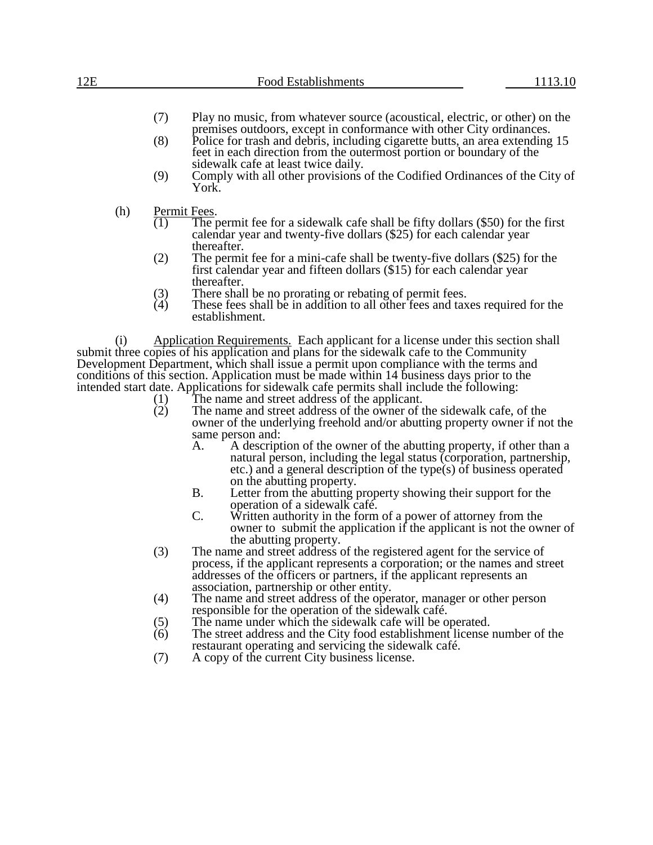# 12E Food Establishments 1113.10

- (7) Play no music, from whatever source (acoustical, electric, or other) on the premises outdoors, except in conformance with other City ordinances.
- (8) Police for trash and debris, including cigarette butts, an area extending 15 feet in each direction from the outermost portion or boundary of the sidewalk cafe at least twice daily.
- (9) Comply with all other provisions of the Codified Ordinances of the City of York.
- (h) Permit Fees.<br>(1) The p
	- The permit fee for a sidewalk cafe shall be fifty dollars (\$50) for the first calendar year and twenty-five dollars (\$25) for each calendar year thereafter.
	- (2) The permit fee for a mini-cafe shall be twenty-five dollars (\$25) for the first calendar year and fifteen dollars (\$15) for each calendar year thereafter.
	- (3) There shall be no prorating or rebating of permit fees.<br>(4) These fees shall be in addition to all other fees and tax
	- These fees shall be in addition to all other fees and taxes required for the establishment.

(i) Application Requirements. Each applicant for a license under this section shall submit three copies of his application and plans for the sidewalk cafe to the Community Development Department, which shall issue a permit upon compliance with the terms and conditions of this section. Application must be made within 14 business days prior to the intended start date. Applications for sidewalk cafe permits shall include the following:<br>(1) The name and street address of the applicant.<br>(2) The name and street address of the owner of the sidewalk cafe, c

- The name and street address of the applicant.
	- The name and street address of the owner of the sidewalk cafe, of the owner of the underlying freehold and/or abutting property owner if not the same person and:<br>A. A descript
		- A. A description of the owner of the abutting property, if other than a natural person, including the legal status (corporation, partnership, etc.) and a general description of the type(s) of business operated on the abutting property.
		- B. Letter from the abutting property showing their support for the operation of a sidewalk café.
		- C. Written authority in the form of a power of attorney from the owner to submit the application if the applicant is not the owner of the abutting property.
- (3) The name and street address of the registered agent for the service of process, if the applicant represents a corporation; or the names and street addresses of the officers or partners, if the applicant represents an association, partnership or other entity.
- (4) The name and street address of the operator, manager or other person responsible for the operation of the sidewalk café.
- (5) The name under which the sidewalk cafe will be operated.<br>  $(6)$  The street address and the City food establishment license
- The street address and the City food establishment license number of the restaurant operating and servicing the sidewalk café.
- (7) A copy of the current City business license.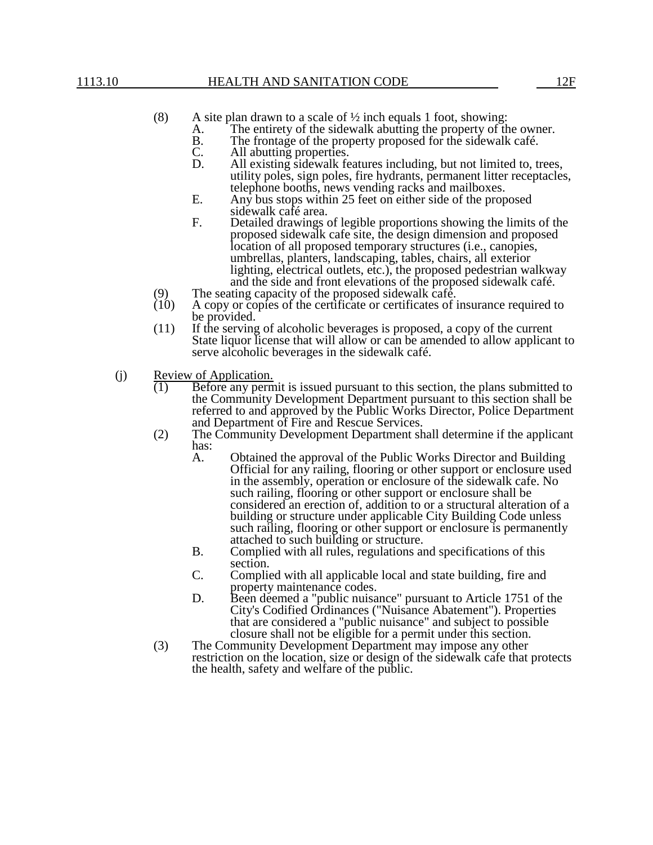- (8) A site plan drawn to a scale of  $\frac{1}{2}$  inch equals 1 foot, showing:
	- A. The entirety of the sidewalk abutting the property of the owner.<br>B. The frontage of the property proposed for the sidewalk café.
	- B. The frontage of the property proposed for the sidewalk café.<br>C. All abutting properties.
	- C. All abutting properties.<br>D. All existing sidewalk fe
	- All existing sidewalk features including, but not limited to, trees, utility poles, sign poles, fire hydrants, permanent litter receptacles, telephone booths, news vending racks and mailboxes.
	- E. Any bus stops within 25 feet on either side of the proposed sidewalk café area.
	- F. Detailed drawings of legible proportions showing the limits of the proposed sidewalk cafe site, the design dimension and proposed location of all proposed temporary structures (i.e., canopies, umbrellas, planters, landscaping, tables, chairs, all exterior lighting, electrical outlets, etc.), the proposed pedestrian walkway and the side and front elevations of the proposed sidewalk café.
- (9) The seating capacity of the proposed sidewalk café.<br>(10) A copy or copies of the certificate or certificates of i
- A copy or copies of the certificate or certificates of insurance required to be provided.
- (11) If the serving of alcoholic beverages is proposed, a copy of the current State liquor license that will allow or can be amended to allow applicant to serve alcoholic beverages in the sidewalk café.
- (j) Review of Application.
	- (1) Before any permit is issued pursuant to this section, the plans submitted to the Community Development Department pursuant to this section shall be referred to and approved by the Public Works Director, Police Department and Department of Fire and Rescue Services.
	- (2) The Community Development Department shall determine if the applicant has:<br>A.
		- Obtained the approval of the Public Works Director and Building Official for any railing, flooring or other support or enclosure used in the assembly, operation or enclosure of the sidewalk cafe. No such railing, flooring or other support or enclosure shall be considered an erection of, addition to or a structural alteration of a building or structure under applicable City Building Code unless such railing, flooring or other support or enclosure is permanently attached to such building or structure.
		- B. Complied with all rules, regulations and specifications of this section.
		- C. Complied with all applicable local and state building, fire and property maintenance codes.
		- D. Been deemed a "public nuisance" pursuant to Article 1751 of the City's Codified Ordinances ("Nuisance Abatement"). Properties that are considered a "public nuisance" and subject to possible closure shall not be eligible for a permit under this section.
	- (3) The Community Development Department may impose any other restriction on the location, size or design of the sidewalk cafe that protects the health, safety and welfare of the public.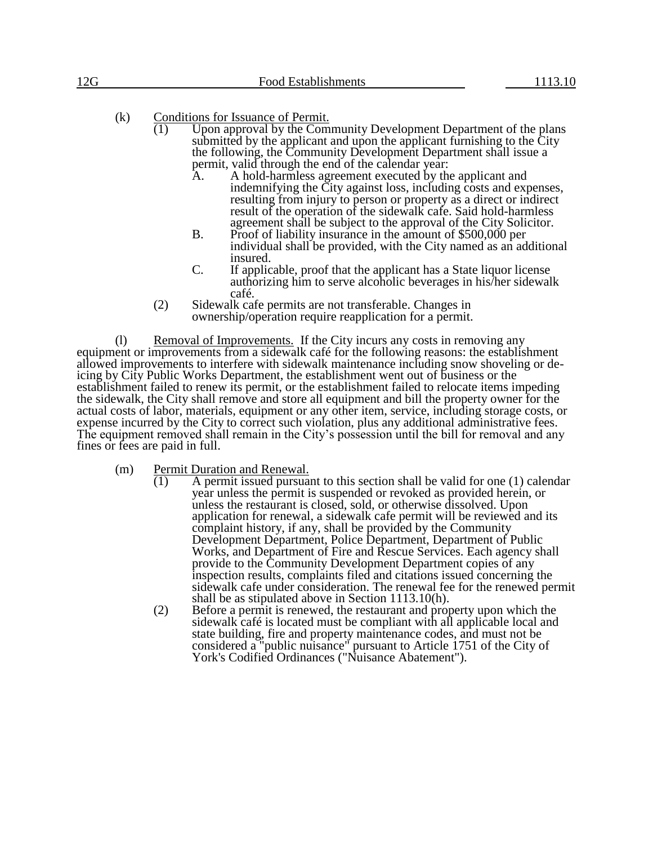- (k) Conditions for Issuance of Permit.<br>(1) Upon approval by the Com
	- Upon approval by the Community Development Department of the plans submitted by the applicant and upon the applicant furnishing to the City the following, the Community Development Department shall issue a permit, valid through the end of the calendar year:<br>A. A hold-harmless agreement executed by the
		- A. A hold-harmless agreement executed by the applicant and indemnifying the City against loss, including costs and expenses, resulting from injury to person or property as a direct or indirect result of the operation of the sidewalk cafe. Said hold-harmless agreement shall be subject to the approval of the City Solicitor.
		- B. Proof of liability insurance in the amount of \$500,000 per individual shall be provided, with the City named as an additional insured.
		- C. If applicable, proof that the applicant has a State liquor license authorizing him to serve alcoholic beverages in his/her sidewalk café.
	- (2) Sidewalk cafe permits are not transferable. Changes in ownership/operation require reapplication for a permit.

(l) Removal of Improvements. If the City incurs any costs in removing any equipment or improvements from a sidewalk café for the following reasons: the establishment allowed improvements to interfere with sidewalk maintenance including snow shoveling or deicing by City Public Works Department, the establishment went out of business or the establishment failed to renew its permit, or the establishment failed to relocate items impeding the sidewalk, the City shall remove and store all equipment and bill the property owner for the actual costs of labor, materials, equipment or any other item, service, including storage costs, or expense incurred by the City to correct such violation, plus any additional administrative fees. The equipment removed shall remain in the City's possession until the bill for removal and any fines or fees are paid in full.

- (m) Permit Duration and Renewal.
	- $\overline{(1)}$  A permit issued pursuant to this section shall be valid for one (1) calendar year unless the permit is suspended or revoked as provided herein, or unless the restaurant is closed, sold, or otherwise dissolved. Upon application for renewal, a sidewalk cafe permit will be reviewed and its complaint history, if any, shall be provided by the Community Development Department, Police Department, Department of Public Works, and Department of Fire and Rescue Services. Each agency shall provide to the Community Development Department copies of any inspection results, complaints filed and citations issued concerning the sidewalk cafe under consideration. The renewal fee for the renewed permit shall be as stipulated above in Section 1113.10(h).
	- (2) Before a permit is renewed, the restaurant and property upon which the sidewalk café is located must be compliant with all applicable local and state building, fire and property maintenance codes, and must not be considered a "public nuisance" pursuant to Article 1751 of the City of York's Codified Ordinances ("Nuisance Abatement").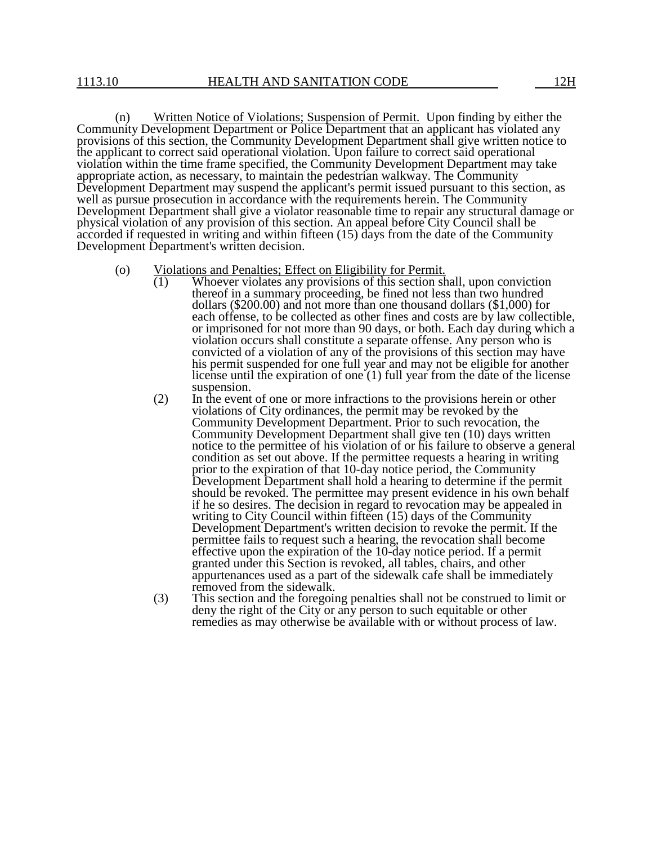(n) Written Notice of Violations; Suspension of Permit. Upon finding by either the Community Development Department or Police Department that an applicant has violated any provisions of this section, the Community Development Department shall give written notice to the applicant to correct said operational violation. Upon failure to correct said operational violation within the time frame specified, the Community Development Department may take appropriate action, as necessary, to maintain the pedestrian walkway. The Community Development Department may suspend the applicant's permit issued pursuant to this section, as well as pursue prosecution in accordance with the requirements herein. The Community Development Department shall give a violator reasonable time to repair any structural damage or physical violation of any provision of this section. An appeal before City Council shall be accorded if requested in writing and within fifteen (15) days from the date of the Community Development Department's written decision.

#### (o) Violations and Penalties; Effect on Eligibility for Permit.

- $\overline{(1)}$  Whoever violates any provisions of this section shall, upon conviction thereof in a summary proceeding, be fined not less than two hundred dollars (\$200.00) and not more than one thousand dollars (\$1,000) for each offense, to be collected as other fines and costs are by law collectible, or imprisoned for not more than 90 days, or both. Each day during which a violation occurs shall constitute a separate offense. Any person who is convicted of a violation of any of the provisions of this section may have his permit suspended for one full year and may not be eligible for another license until the expiration of one (1) full year from the date of the license suspension.
- (2) In the event of one or more infractions to the provisions herein or other violations of City ordinances, the permit may be revoked by the Community Development Department. Prior to such revocation, the Community Development Department shall give ten (10) days written notice to the permittee of his violation of or his failure to observe a general condition as set out above. If the permittee requests a hearing in writing prior to the expiration of that 10-day notice period, the Community Development Department shall hold a hearing to determine if the permit should be revoked. The permittee may present evidence in his own behalf if he so desires. The decision in regard to revocation may be appealed in writing to City Council within fifteen (15) days of the Community Development Department's written decision to revoke the permit. If the permittee fails to request such a hearing, the revocation shall become effective upon the expiration of the 10-day notice period. If a permit granted under this Section is revoked, all tables, chairs, and other appurtenances used as a part of the sidewalk cafe shall be immediately removed from the sidewalk.
- (3) This section and the foregoing penalties shall not be construed to limit or deny the right of the City or any person to such equitable or other remedies as may otherwise be available with or without process of law.